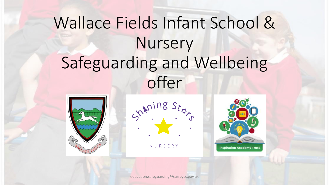### Wallace Fields Infant School & Nursery Safeguarding and Wellbeing offer





NURSERY



education.safeguarding@surreycc.gov.uk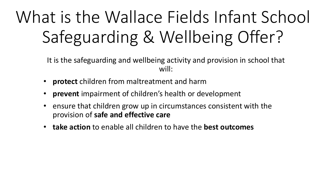### What is the Wallace Fields Infant School Safeguarding & Wellbeing Offer?

It is the safeguarding and wellbeing activity and provision in school that will:

- **protect** children from maltreatment and harm
- **prevent** impairment of children's health or development
- ensure that children grow up in circumstances consistent with the provision of **safe and effective care**
- **take action** to enable all children to have the **best outcomes**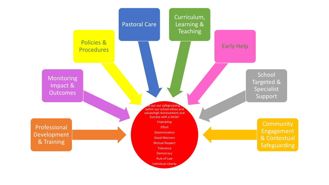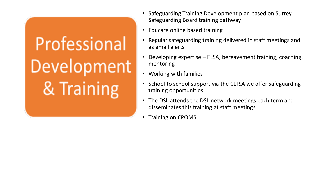# Professional Development & Training

- Safeguarding Training Development plan based on Surrey Safeguarding Board training pathway
- Educare online based training
- Regular safeguarding training delivered in staff meetings and as email alerts
- Developing expertise ELSA, bereavement training, coaching, mentoring
- Working with families
- School to school support via the CLTSA we offer safeguarding training opportunities.
- The DSL attends the DSL network meetings each term and disseminates this training at staff meetings.
- Training on CPOMS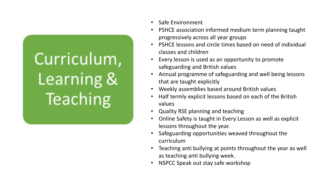# Curriculum, Learning & **Teaching**

- Safe Environment
- PSHCE association informed medium term planning taught progressively across all year groups
- PSHCE lessons and circle times based on need of individual classes and children
- Every lesson is used as an opportunity to promote safeguarding and British values
- Annual programme of safeguarding and well being lessons that are taught explicitly
- Weekly assemblies based around British values
- Half termly explicit lessons based on each of the British values
- Quality RSE planning and teaching
- Online Safety is taught in Every Lesson as well as explicit lessons throughout the year.
- Safeguarding opportunities weaved throughout the curriculum
- Teaching anti bullying at points throughout the year as well as teaching anti bullying week.
- NSPCC Speak out stay safe workshop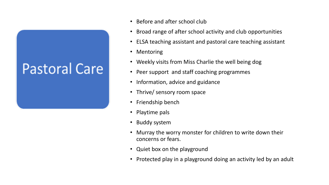#### **Pastoral Care**

- Before and after school club
- Broad range of after school activity and club opportunities
- ELSA teaching assistant and pastoral care teaching assistant
- Mentoring
- Weekly visits from Miss Charlie the well being dog
- Peer support and staff coaching programmes
- Information, advice and guidance
- Thrive/ sensory room space
- Friendship bench
- Playtime pals
- Buddy system
- Murray the worry monster for children to write down their concerns or fears.
- Quiet box on the playground
- Protected play in a playground doing an activity led by an adult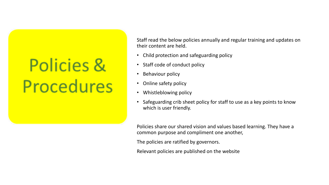### **Policies & Procedures**

Staff read the below policies annually and regular training and updates on their content are held.

- Child protection and safeguarding policy
- Staff code of conduct policy
- Behaviour policy
- Online safety policy
- Whistleblowing policy
- Safeguarding crib sheet policy for staff to use as a key points to know which is user friendly.

Policies share our shared vision and values based learning. They have a common purpose and compliment one another,

The policies are ratified by governors.

Relevant policies are published on the website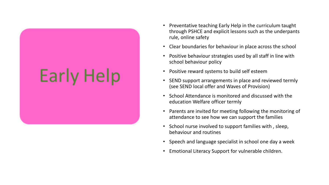### Early Help

- Preventative teaching Early Help in the curriculum taught through PSHCE and explicit lessons such as the underpants rule, online safety
- Clear boundaries for behaviour in place across the school
- Positive behaviour strategies used by all staff in line with school behaviour policy
- Positive reward systems to build self esteem
- SEND support arrangements in place and reviewed termly (see SEND local offer and Waves of Provision)
- School Attendance is monitored and discussed with the education Welfare officer termly
- Parents are invited for meeting following the monitoring of attendance to see how we can support the families
- School nurse involved to support families with , sleep, behaviour and routines
- Speech and language specialist in school one day a week
- Emotional Literacy Support for vulnerable children.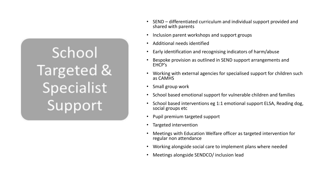### School Targeted & Specialist Support

- SEND differentiated curriculum and individual support provided and shared with parents
- Inclusion parent workshops and support groups
- Additional needs identified
- Early identification and recognising indicators of harm/abuse
- Bespoke provision as outlined in SEND support arrangements and EHCP's
- Working with external agencies for specialised support for children such as CAMHS
- Small group work
- School based emotional support for vulnerable children and families
- School based interventions eg 1:1 emotional support ELSA, Reading dog, social groups etc
- Pupil premium targeted support
- Targeted intervention
- Meetings with Education Welfare officer as targeted intervention for regular non attendance
- Working alongside social care to implement plans where needed
- Meetings alongside SENDCO/ inclusion lead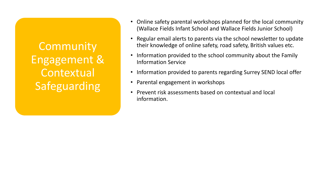**Community** Engagement & **Contextual** Safeguarding

- Online safety parental workshops planned for the local community (Wallace Fields Infant School and Wallace Fields Junior School)
- Regular email alerts to parents via the school newsletter to update their knowledge of online safety, road safety, British values etc.
- Information provided to the school community about the Family Information Service
- Information provided to parents regarding Surrey SEND local offer
- Parental engagement in workshops
- Prevent risk assessments based on contextual and local information.